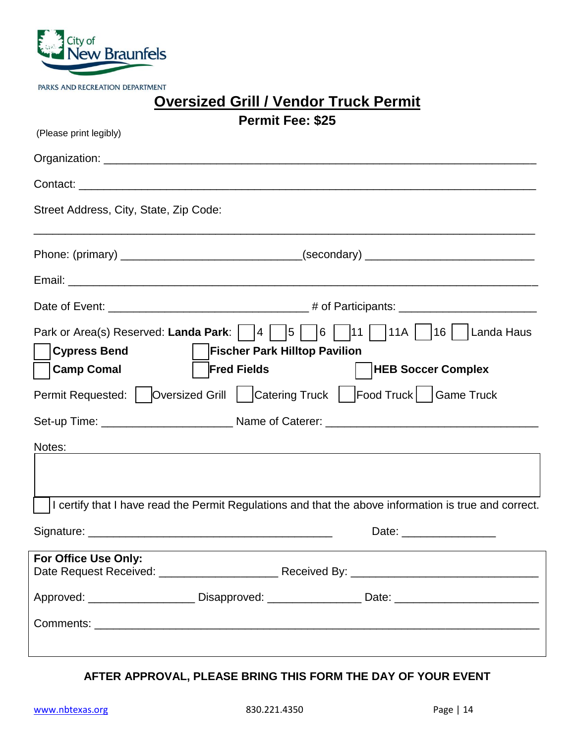

PARKS AND RECREATION DEPARTMENT

| <b>Oversized Grill / Vendor Truck Permit</b> |  |  |
|----------------------------------------------|--|--|
|----------------------------------------------|--|--|

| (Please print legibly)                 | <b>Permit Fee: \$25</b>              |                                                                                                                   |
|----------------------------------------|--------------------------------------|-------------------------------------------------------------------------------------------------------------------|
|                                        |                                      |                                                                                                                   |
|                                        |                                      |                                                                                                                   |
|                                        |                                      |                                                                                                                   |
| Street Address, City, State, Zip Code: |                                      |                                                                                                                   |
|                                        |                                      |                                                                                                                   |
|                                        |                                      |                                                                                                                   |
|                                        |                                      |                                                                                                                   |
|                                        |                                      | Park or Area(s) Reserved: Landa Park: $\Box$ 4 $\Box$ 5 $\Box$ 6 $\Box$ 11 $\Box$ 11A $\Box$ 16 $\Box$ Landa Haus |
| <b>Cypress Bend</b>                    | <b>Fischer Park Hilltop Pavilion</b> |                                                                                                                   |
| Camp Comal                             | <b>Fred Fields</b>                   | <b>HEB Soccer Complex</b>                                                                                         |
|                                        |                                      | Permit Requested:   Oversized Grill   Catering Truck   Food Truck   Game Truck                                    |
|                                        |                                      |                                                                                                                   |
| Notes:                                 |                                      | ,我们也不会有什么。""我们的人,我们也不会有什么?""我们的人,我们也不会有什么?""我们的人,我们也不会有什么?""我们的人,我们也不会有什么?""我们的人                                  |
|                                        |                                      |                                                                                                                   |
|                                        |                                      | I certify that I have read the Permit Regulations and that the above information is true and correct.             |
| Signature:                             |                                      | Date:                                                                                                             |
| For Office Use Only:                   |                                      |                                                                                                                   |
|                                        |                                      |                                                                                                                   |
|                                        |                                      | Approved: ________________________Disapproved: ____________________Date: ___________________________              |
|                                        |                                      |                                                                                                                   |
|                                        |                                      |                                                                                                                   |

## **AFTER APPROVAL, PLEASE BRING THIS FORM THE DAY OF YOUR EVENT**